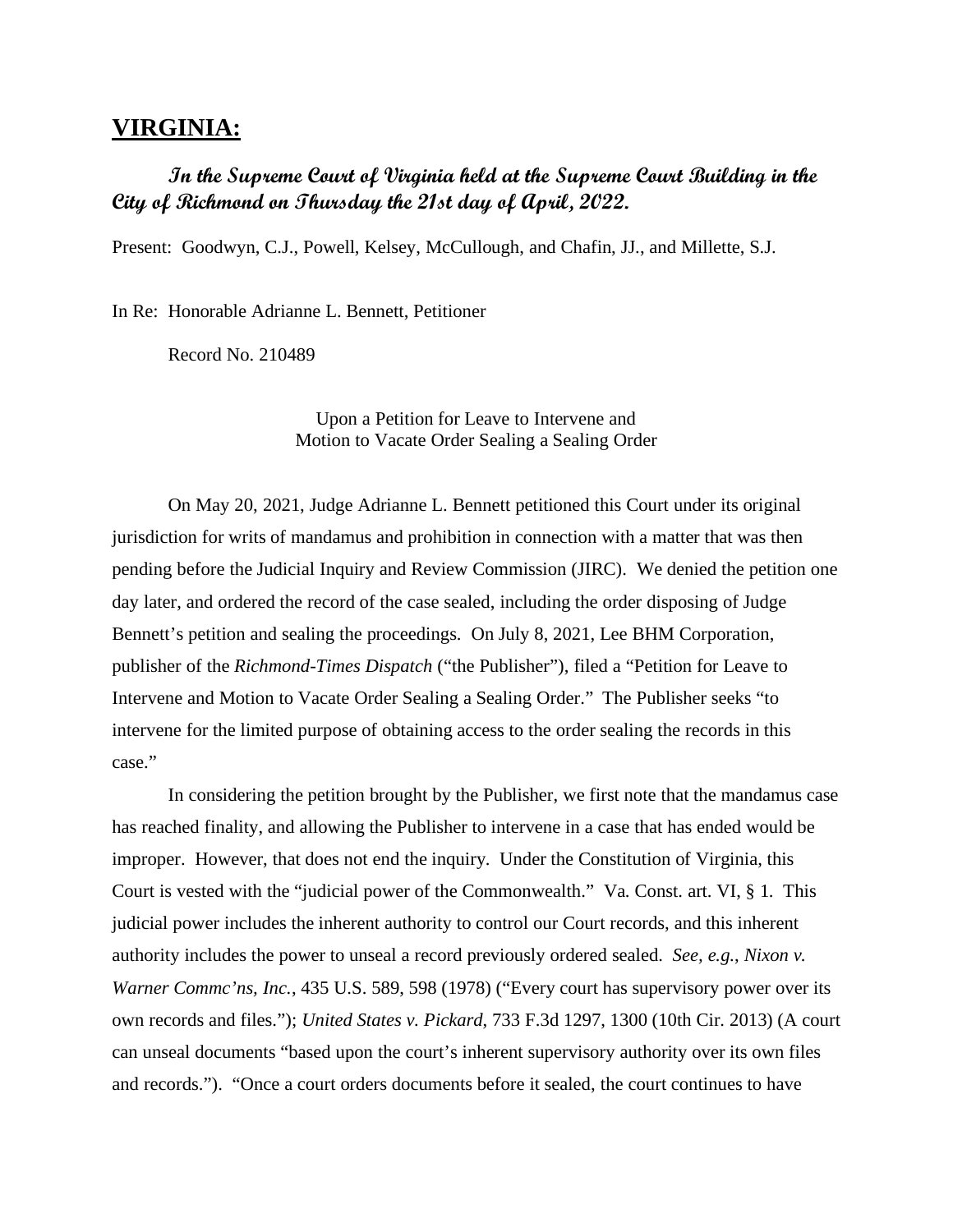## **VIRGINIA:**

# **In the Supreme Court of Virginia held at the Supreme Court Building in the City of Richmond on Thursday the 21st day of April, 2022.**

Present: Goodwyn, C.J., Powell, Kelsey, McCullough, and Chafin, JJ., and Millette, S.J.

In Re: Honorable Adrianne L. Bennett, Petitioner

Record No. 210489

Upon a Petition for Leave to Intervene and Motion to Vacate Order Sealing a Sealing Order

On May 20, 2021, Judge Adrianne L. Bennett petitioned this Court under its original jurisdiction for writs of mandamus and prohibition in connection with a matter that was then pending before the Judicial Inquiry and Review Commission (JIRC). We denied the petition one day later, and ordered the record of the case sealed, including the order disposing of Judge Bennett's petition and sealing the proceedings. On July 8, 2021, Lee BHM Corporation, publisher of the *Richmond-Times Dispatch* ("the Publisher"), filed a "Petition for Leave to Intervene and Motion to Vacate Order Sealing a Sealing Order." The Publisher seeks "to intervene for the limited purpose of obtaining access to the order sealing the records in this case."

In considering the petition brought by the Publisher, we first note that the mandamus case has reached finality, and allowing the Publisher to intervene in a case that has ended would be improper. However, that does not end the inquiry. Under the Constitution of Virginia, this Court is vested with the "judicial power of the Commonwealth." Va. Const. art. VI, § 1. This judicial power includes the inherent authority to control our Court records, and this inherent authority includes the power to unseal a record previously ordered sealed. *See, e.g.*, *Nixon v. Warner Commc'ns, Inc.*, 435 U.S. 589, 598 (1978) ("Every court has supervisory power over its own records and files."); *United States v. Pickard*, 733 F.3d 1297, 1300 (10th Cir. 2013) (A court can unseal documents "based upon the court's inherent supervisory authority over its own files and records."). "Once a court orders documents before it sealed, the court continues to have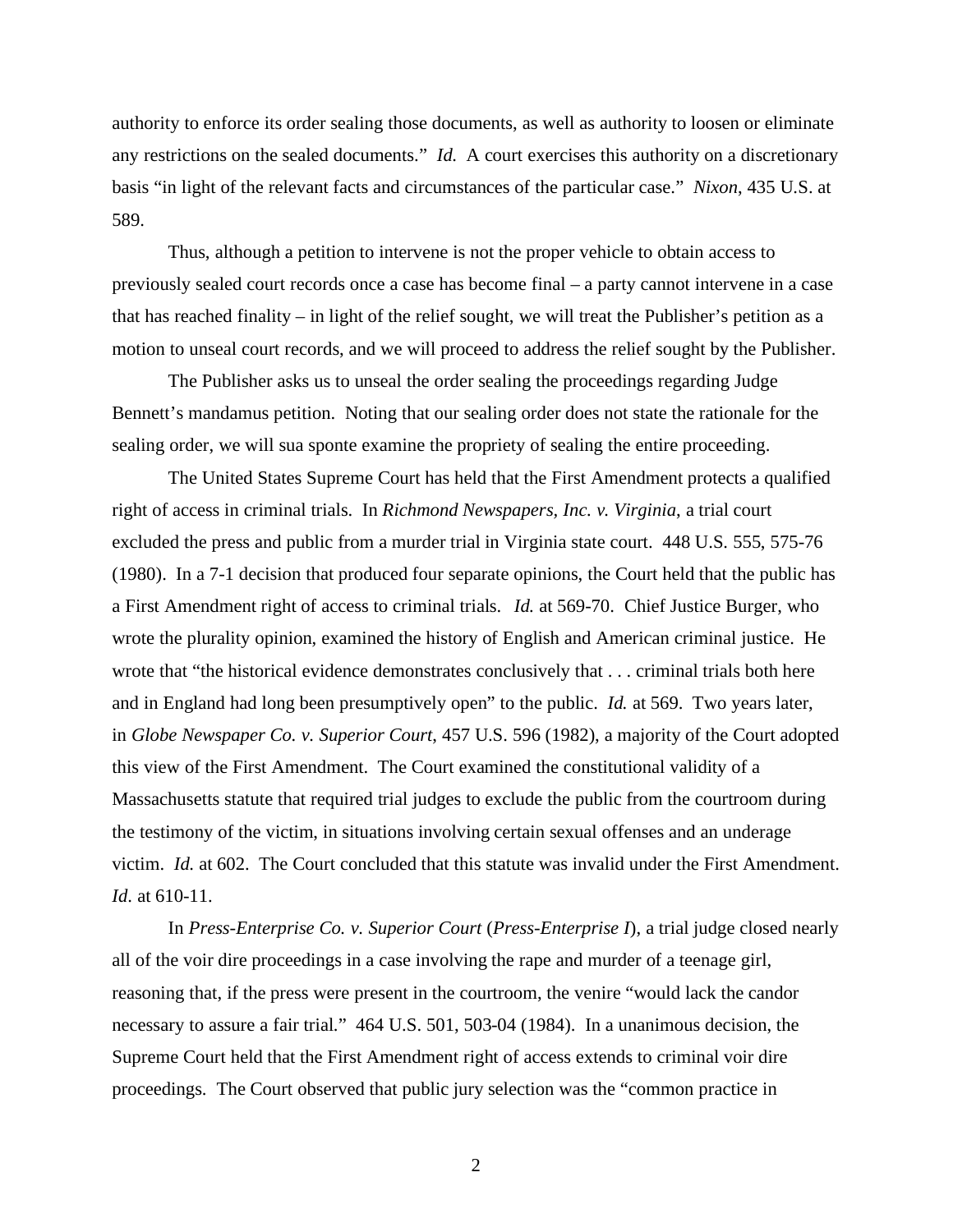authority to enforce its order sealing those documents, as well as authority to loosen or eliminate any restrictions on the sealed documents." *Id*. A court exercises this authority on a discretionary basis "in light of the relevant facts and circumstances of the particular case." *Nixon*, 435 U.S. at 589.

Thus, although a petition to intervene is not the proper vehicle to obtain access to previously sealed court records once a case has become final – a party cannot intervene in a case that has reached finality – in light of the relief sought, we will treat the Publisher's petition as a motion to unseal court records, and we will proceed to address the relief sought by the Publisher.

The Publisher asks us to unseal the order sealing the proceedings regarding Judge Bennett's mandamus petition. Noting that our sealing order does not state the rationale for the sealing order, we will sua sponte examine the propriety of sealing the entire proceeding.

The United States Supreme Court has held that the First Amendment protects a qualified right of access in criminal trials. In *Richmond Newspapers, Inc. v. Virginia*, a trial court excluded the press and public from a murder trial in Virginia state court. 448 U.S. 555, 575-76 (1980). In a 7-1 decision that produced four separate opinions, the Court held that the public has a First Amendment right of access to criminal trials. *Id.* at 569-70. Chief Justice Burger, who wrote the plurality opinion, examined the history of English and American criminal justice. He wrote that "the historical evidence demonstrates conclusively that . . . criminal trials both here and in England had long been presumptively open" to the public. *Id.* at 569. Two years later, in *Globe Newspaper Co. v. Superior Court*, 457 U.S. 596 (1982), a majority of the Court adopted this view of the First Amendment. The Court examined the constitutional validity of a Massachusetts statute that required trial judges to exclude the public from the courtroom during the testimony of the victim, in situations involving certain sexual offenses and an underage victim. *Id*. at 602. The Court concluded that this statute was invalid under the First Amendment. *Id*. at 610-11.

In *Press-Enterprise Co. v. Superior Court* (*Press-Enterprise I*), a trial judge closed nearly all of the voir dire proceedings in a case involving the rape and murder of a teenage girl, reasoning that, if the press were present in the courtroom, the venire "would lack the candor necessary to assure a fair trial." 464 U.S. 501, 503-04 (1984). In a unanimous decision, the Supreme Court held that the First Amendment right of access extends to criminal voir dire proceedings. The Court observed that public jury selection was the "common practice in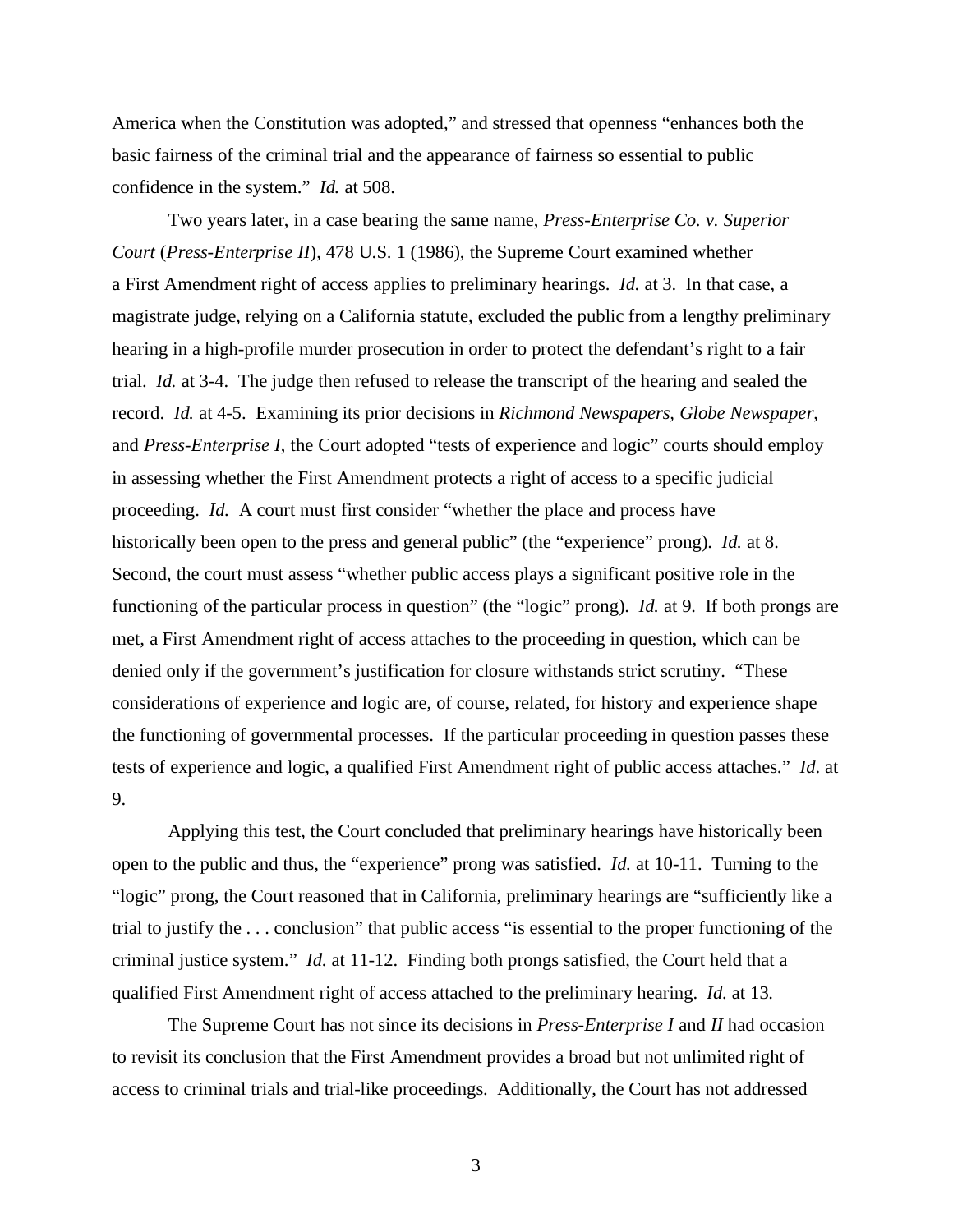America when the Constitution was adopted," and stressed that openness "enhances both the basic fairness of the criminal trial and the appearance of fairness so essential to public confidence in the system." *Id.* at 508.

Two years later, in a case bearing the same name, *Press-Enterprise Co. v. Superior Court* (*Press-Enterprise II*), 478 U.S. 1 (1986), the Supreme Court examined whether a First Amendment right of access applies to preliminary hearings. *Id*. at 3. In that case, a magistrate judge, relying on a California statute, excluded the public from a lengthy preliminary hearing in a high-profile murder prosecution in order to protect the defendant's right to a fair trial. *Id.* at 3-4. The judge then refused to release the transcript of the hearing and sealed the record. *Id.* at 4-5. Examining its prior decisions in *Richmond Newspapers, Globe Newspaper*, and *Press-Enterprise I*, the Court adopted "tests of experience and logic" courts should employ in assessing whether the First Amendment protects a right of access to a specific judicial proceeding. *Id.* A court must first consider "whether the place and process have historically been open to the press and general public" (the "experience" prong). *Id.* at 8. Second, the court must assess "whether public access plays a significant positive role in the functioning of the particular process in question" (the "logic" prong). *Id.* at 9. If both prongs are met, a First Amendment right of access attaches to the proceeding in question, which can be denied only if the government's justification for closure withstands strict scrutiny. "These considerations of experience and logic are, of course, related, for history and experience shape the functioning of governmental processes. If the particular proceeding in question passes these tests of experience and logic, a qualified First Amendment right of public access attaches." *Id*. at 9.

Applying this test, the Court concluded that preliminary hearings have historically been open to the public and thus, the "experience" prong was satisfied. *Id.* at 10-11. Turning to the "logic" prong, the Court reasoned that in California, preliminary hearings are "sufficiently like a trial to justify the . . . conclusion" that public access "is essential to the proper functioning of the criminal justice system." *Id.* at 11-12. Finding both prongs satisfied, the Court held that a qualified First Amendment right of access attached to the preliminary hearing. *Id.* at 13.

The Supreme Court has not since its decisions in *Press-Enterprise I* and *II* had occasion to revisit its conclusion that the First Amendment provides a broad but not unlimited right of access to criminal trials and trial-like proceedings. Additionally, the Court has not addressed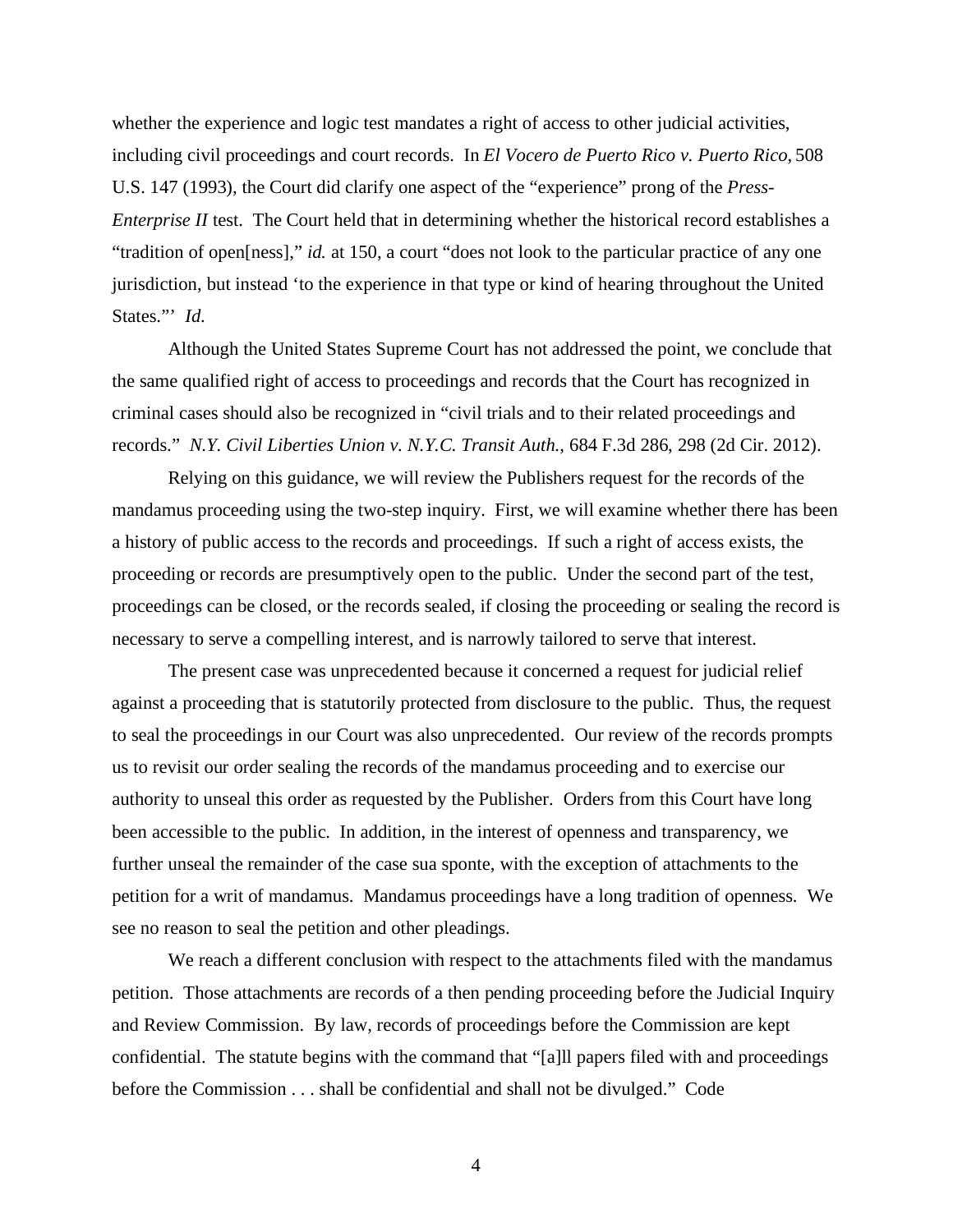whether the experience and logic test mandates a right of access to other judicial activities, including civil proceedings and court records. In *El Vocero de Puerto Rico v. Puerto Rico*, 508 U.S. 147 (1993), the Court did clarify one aspect of the "experience" prong of the *Press-Enterprise II* test. The Court held that in determining whether the historical record establishes a "tradition of open[ness]," *id.* at 150, a court "does not look to the particular practice of any one jurisdiction, but instead 'to the experience in that type or kind of hearing throughout the United States."' *Id.*

Although the United States Supreme Court has not addressed the point, we conclude that the same qualified right of access to proceedings and records that the Court has recognized in criminal cases should also be recognized in "civil trials and to their related proceedings and records." *N.Y. Civil Liberties Union v. N.Y.C. Transit Auth.*, 684 F.3d 286, 298 (2d Cir. 2012).

Relying on this guidance, we will review the Publishers request for the records of the mandamus proceeding using the two-step inquiry. First, we will examine whether there has been a history of public access to the records and proceedings. If such a right of access exists, the proceeding or records are presumptively open to the public. Under the second part of the test, proceedings can be closed, or the records sealed, if closing the proceeding or sealing the record is necessary to serve a compelling interest, and is narrowly tailored to serve that interest.

The present case was unprecedented because it concerned a request for judicial relief against a proceeding that is statutorily protected from disclosure to the public. Thus, the request to seal the proceedings in our Court was also unprecedented. Our review of the records prompts us to revisit our order sealing the records of the mandamus proceeding and to exercise our authority to unseal this order as requested by the Publisher. Orders from this Court have long been accessible to the public. In addition, in the interest of openness and transparency, we further unseal the remainder of the case sua sponte, with the exception of attachments to the petition for a writ of mandamus. Mandamus proceedings have a long tradition of openness. We see no reason to seal the petition and other pleadings.

We reach a different conclusion with respect to the attachments filed with the mandamus petition. Those attachments are records of a then pending proceeding before the Judicial Inquiry and Review Commission. By law, records of proceedings before the Commission are kept confidential. The statute begins with the command that "[a]ll papers filed with and proceedings before the Commission . . . shall be confidential and shall not be divulged." Code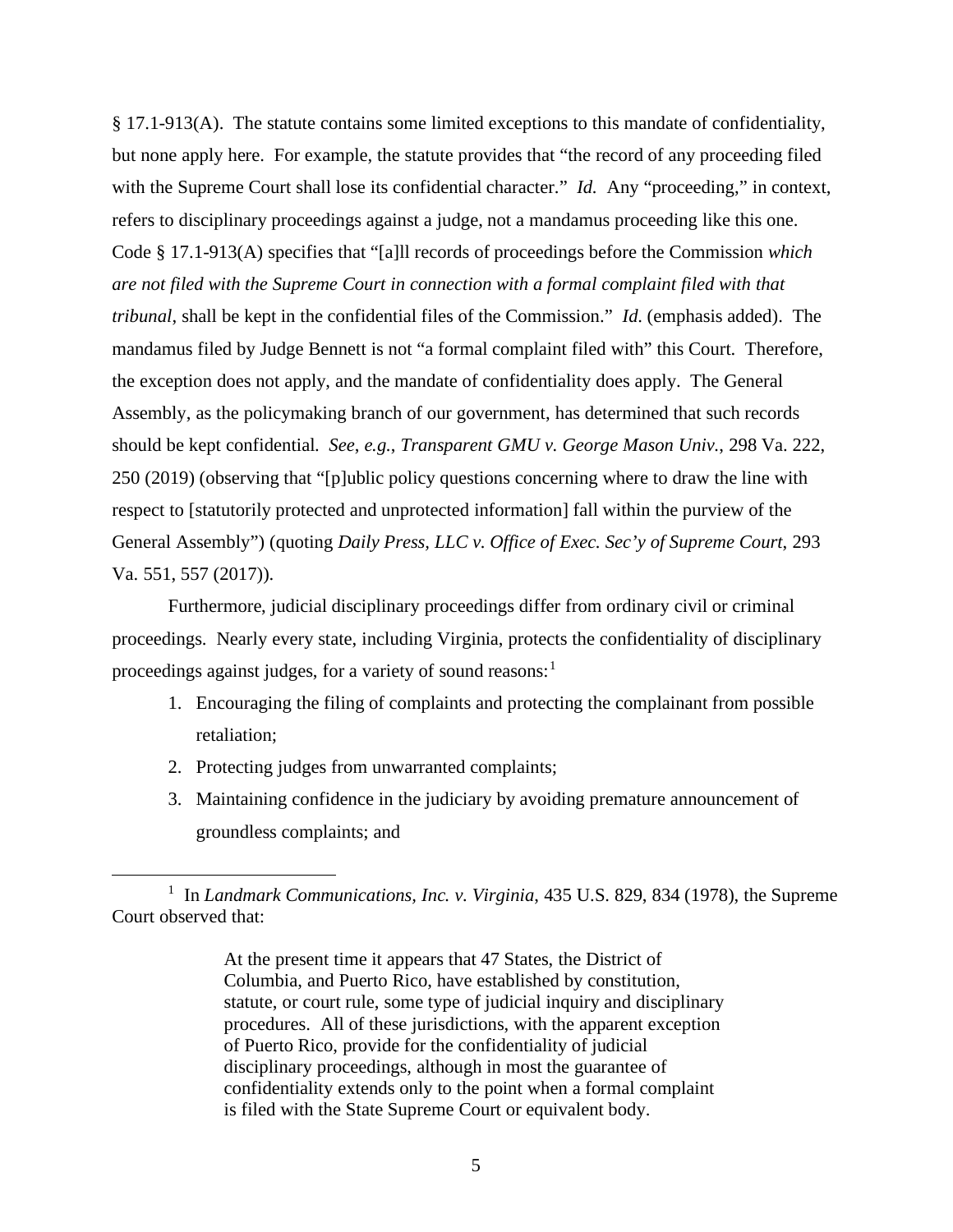§ 17.1-913(A). The statute contains some limited exceptions to this mandate of confidentiality, but none apply here. For example, the statute provides that "the record of any proceeding filed with the Supreme Court shall lose its confidential character." *Id.* Any "proceeding," in context, refers to disciplinary proceedings against a judge, not a mandamus proceeding like this one. Code § 17.1-913(A) specifies that "[a]ll records of proceedings before the Commission *which are not filed with the Supreme Court in connection with a formal complaint filed with that tribunal*, shall be kept in the confidential files of the Commission." *Id*. (emphasis added). The mandamus filed by Judge Bennett is not "a formal complaint filed with" this Court. Therefore, the exception does not apply, and the mandate of confidentiality does apply. The General Assembly, as the policymaking branch of our government, has determined that such records should be kept confidential. *See*, *e.g.*, *Transparent GMU v. George Mason Univ.*, 298 Va. 222, 250 (2019) (observing that "[p]ublic policy questions concerning where to draw the line with respect to [statutorily protected and unprotected information] fall within the purview of the General Assembly") (quoting *Daily Press, LLC v. Office of Exec. Sec'y of Supreme Court*, 293 Va. 551, 557 (2017)).

Furthermore, judicial disciplinary proceedings differ from ordinary civil or criminal proceedings. Nearly every state, including Virginia, protects the confidentiality of disciplinary proceedings against judges, for a variety of sound reasons:<sup>1</sup>

- 1. Encouraging the filing of complaints and protecting the complainant from possible retaliation;
- 2. Protecting judges from unwarranted complaints;
- 3. Maintaining confidence in the judiciary by avoiding premature announcement of groundless complaints; and

<sup>&</sup>lt;sup>1</sup> In *Landmark Communications, Inc. v. Virginia*, 435 U.S. 829, 834 (1978), the Supreme Court observed that:

At the present time it appears that 47 States, the District of Columbia, and Puerto Rico, have established by constitution, statute, or court rule, some type of judicial inquiry and disciplinary procedures. All of these jurisdictions, with the apparent exception of Puerto Rico, provide for the confidentiality of judicial disciplinary proceedings, although in most the guarantee of confidentiality extends only to the point when a formal complaint is filed with the State Supreme Court or equivalent body.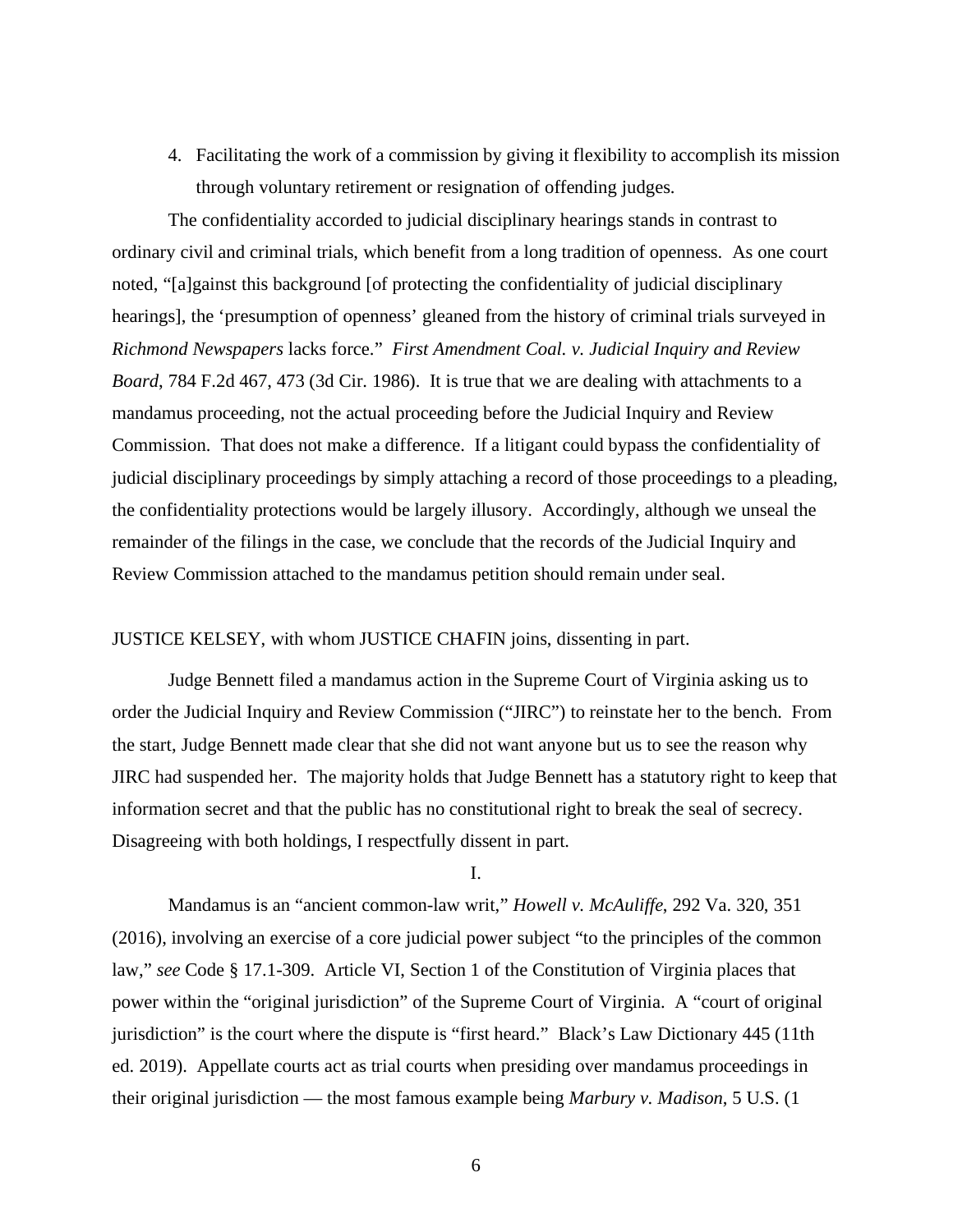4. Facilitating the work of a commission by giving it flexibility to accomplish its mission through voluntary retirement or resignation of offending judges.

The confidentiality accorded to judicial disciplinary hearings stands in contrast to ordinary civil and criminal trials, which benefit from a long tradition of openness. As one court noted, "[a]gainst this background [of protecting the confidentiality of judicial disciplinary hearings], the 'presumption of openness' gleaned from the history of criminal trials surveyed in *Richmond Newspapers* lacks force." *First Amendment Coal. v. Judicial Inquiry and Review Board*, 784 F.2d 467, 473 (3d Cir. 1986). It is true that we are dealing with attachments to a mandamus proceeding, not the actual proceeding before the Judicial Inquiry and Review Commission. That does not make a difference. If a litigant could bypass the confidentiality of judicial disciplinary proceedings by simply attaching a record of those proceedings to a pleading, the confidentiality protections would be largely illusory. Accordingly, although we unseal the remainder of the filings in the case, we conclude that the records of the Judicial Inquiry and Review Commission attached to the mandamus petition should remain under seal.

### JUSTICE KELSEY, with whom JUSTICE CHAFIN joins, dissenting in part.

Judge Bennett filed a mandamus action in the Supreme Court of Virginia asking us to order the Judicial Inquiry and Review Commission ("JIRC") to reinstate her to the bench. From the start, Judge Bennett made clear that she did not want anyone but us to see the reason why JIRC had suspended her. The majority holds that Judge Bennett has a statutory right to keep that information secret and that the public has no constitutional right to break the seal of secrecy. Disagreeing with both holdings, I respectfully dissent in part.

#### I.

Mandamus is an "ancient common-law writ," *Howell v. McAuliffe*, 292 Va. 320, 351 (2016), involving an exercise of a core judicial power subject "to the principles of the common law," *see* Code § 17.1-309. Article VI, Section 1 of the Constitution of Virginia places that power within the "original jurisdiction" of the Supreme Court of Virginia. A "court of original jurisdiction" is the court where the dispute is "first heard." Black's Law Dictionary 445 (11th ed. 2019). Appellate courts act as trial courts when presiding over mandamus proceedings in their original jurisdiction — the most famous example being *Marbury v. Madison*, 5 U.S. (1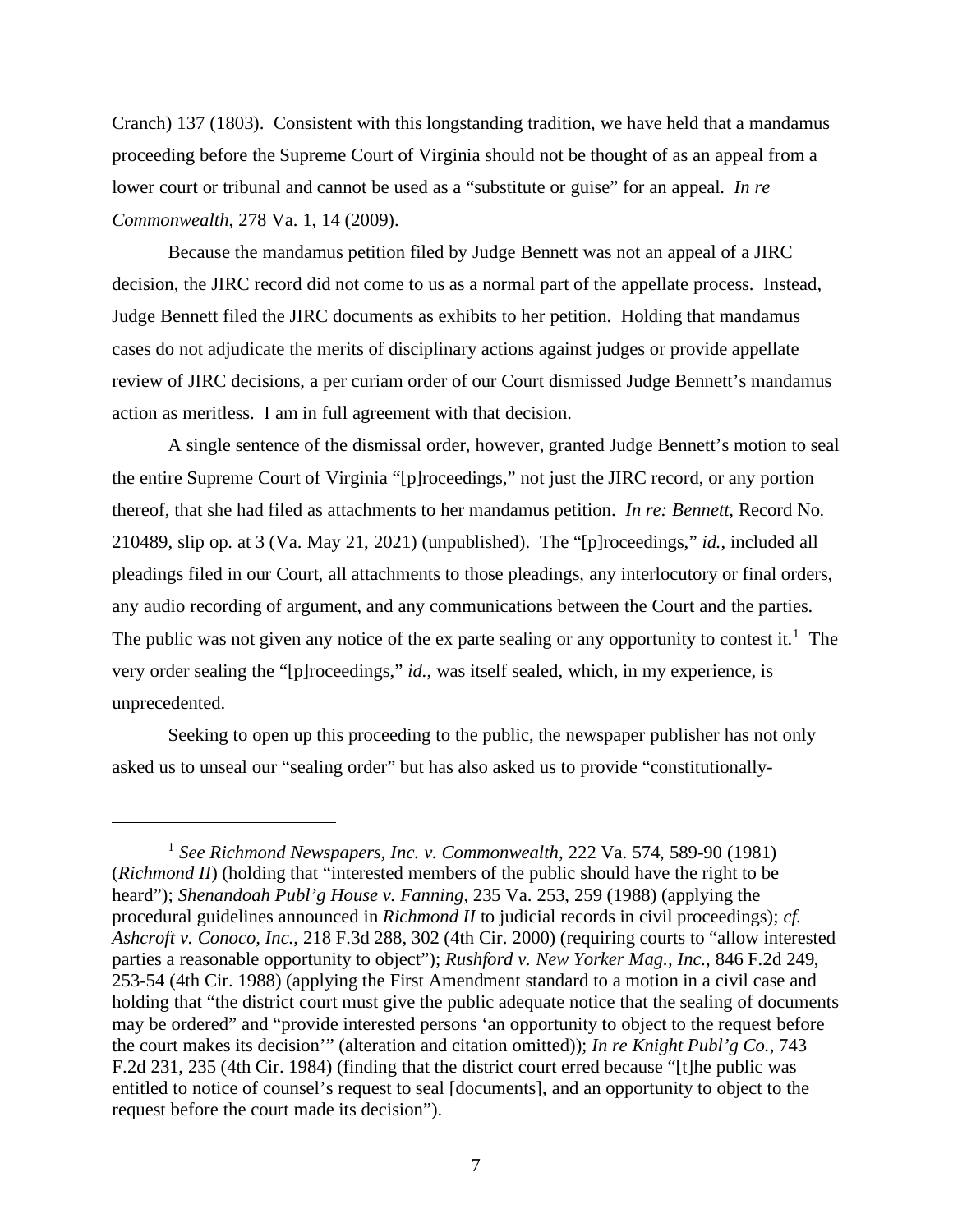Cranch) 137 (1803). Consistent with this longstanding tradition, we have held that a mandamus proceeding before the Supreme Court of Virginia should not be thought of as an appeal from a lower court or tribunal and cannot be used as a "substitute or guise" for an appeal. *In re Commonwealth*, 278 Va. 1, 14 (2009).

Because the mandamus petition filed by Judge Bennett was not an appeal of a JIRC decision, the JIRC record did not come to us as a normal part of the appellate process. Instead, Judge Bennett filed the JIRC documents as exhibits to her petition. Holding that mandamus cases do not adjudicate the merits of disciplinary actions against judges or provide appellate review of JIRC decisions, a per curiam order of our Court dismissed Judge Bennett's mandamus action as meritless. I am in full agreement with that decision.

A single sentence of the dismissal order, however, granted Judge Bennett's motion to seal the entire Supreme Court of Virginia "[p]roceedings," not just the JIRC record, or any portion thereof, that she had filed as attachments to her mandamus petition. *In re: Bennett*, Record No. 210489, slip op. at 3 (Va. May 21, 2021) (unpublished). The "[p]roceedings," *id.*, included all pleadings filed in our Court, all attachments to those pleadings, any interlocutory or final orders, any audio recording of argument, and any communications between the Court and the parties. The public was not given any notice of the ex parte sealing or any opportunity to contest it.<sup>1</sup> The very order sealing the "[p]roceedings," *id.*, was itself sealed, which, in my experience, is unprecedented.

Seeking to open up this proceeding to the public, the newspaper publisher has not only asked us to unseal our "sealing order" but has also asked us to provide "constitutionally-

<sup>1</sup> *See Richmond Newspapers, Inc. v. Commonwealth*, 222 Va. 574, 589-90 (1981) (*Richmond II*) (holding that "interested members of the public should have the right to be heard"); *Shenandoah Publ'g House v. Fanning*, 235 Va. 253, 259 (1988) (applying the procedural guidelines announced in *Richmond II* to judicial records in civil proceedings); *cf. Ashcroft v. Conoco, Inc.*, 218 F.3d 288, 302 (4th Cir. 2000) (requiring courts to "allow interested parties a reasonable opportunity to object"); *Rushford v. New Yorker Mag., Inc.*, 846 F.2d 249, 253-54 (4th Cir. 1988) (applying the First Amendment standard to a motion in a civil case and holding that "the district court must give the public adequate notice that the sealing of documents may be ordered" and "provide interested persons 'an opportunity to object to the request before the court makes its decision'" (alteration and citation omitted)); *In re Knight Publ'g Co.*, 743 F.2d 231, 235 (4th Cir. 1984) (finding that the district court erred because "[t]he public was entitled to notice of counsel's request to seal [documents], and an opportunity to object to the request before the court made its decision").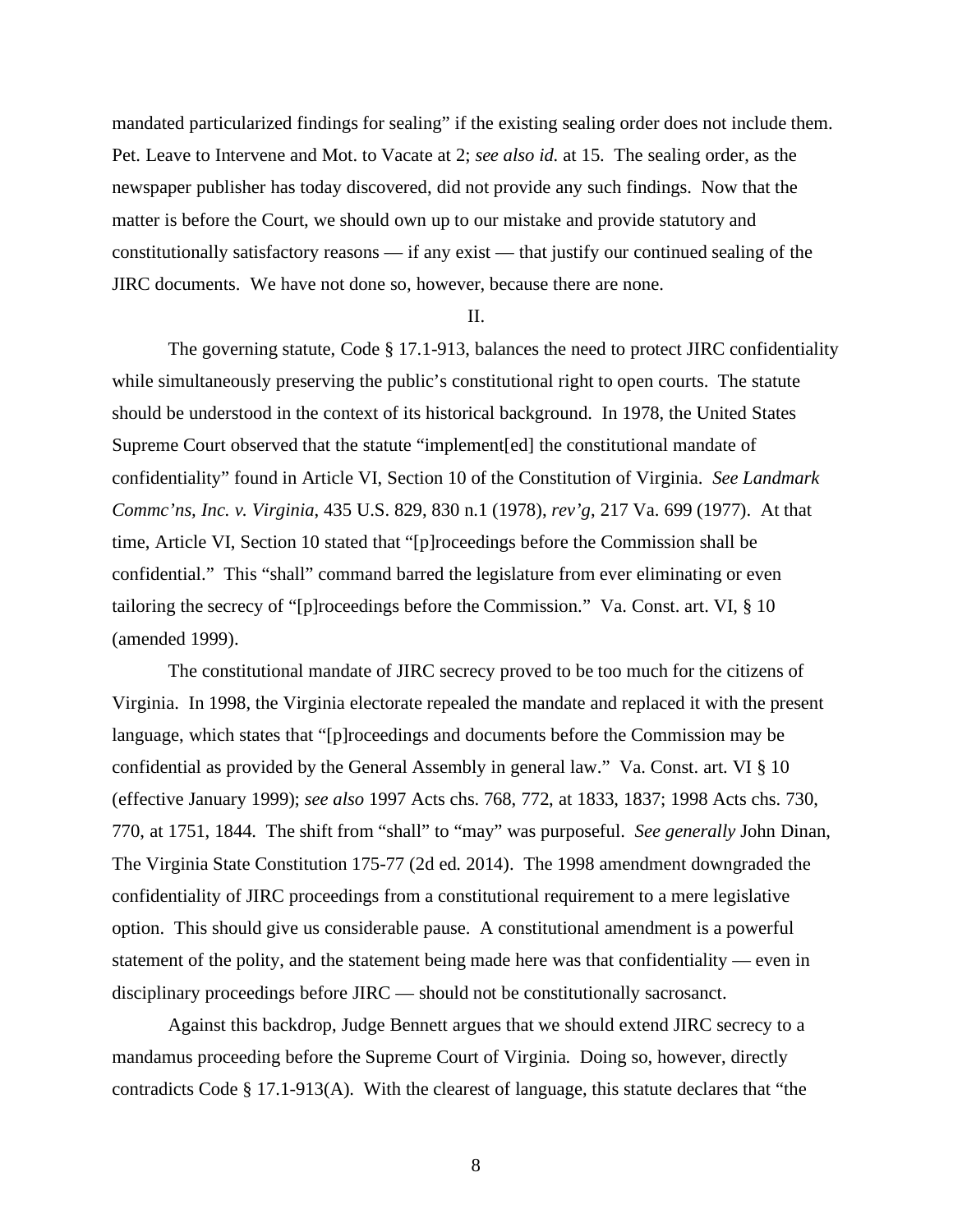mandated particularized findings for sealing" if the existing sealing order does not include them. Pet. Leave to Intervene and Mot. to Vacate at 2; *see also id.* at 15. The sealing order, as the newspaper publisher has today discovered, did not provide any such findings. Now that the matter is before the Court, we should own up to our mistake and provide statutory and constitutionally satisfactory reasons — if any exist — that justify our continued sealing of the JIRC documents. We have not done so, however, because there are none.

#### II.

The governing statute, Code § 17.1-913, balances the need to protect JIRC confidentiality while simultaneously preserving the public's constitutional right to open courts. The statute should be understood in the context of its historical background. In 1978, the United States Supreme Court observed that the statute "implement[ed] the constitutional mandate of confidentiality" found in Article VI, Section 10 of the Constitution of Virginia. *See Landmark Commc'ns, Inc. v. Virginia*, 435 U.S. 829, 830 n.1 (1978), *rev'g*, 217 Va. 699 (1977). At that time, Article VI, Section 10 stated that "[p]roceedings before the Commission shall be confidential." This "shall" command barred the legislature from ever eliminating or even tailoring the secrecy of "[p]roceedings before the Commission." Va. Const. art. VI, § 10 (amended 1999).

The constitutional mandate of JIRC secrecy proved to be too much for the citizens of Virginia. In 1998, the Virginia electorate repealed the mandate and replaced it with the present language, which states that "[p]roceedings and documents before the Commission may be confidential as provided by the General Assembly in general law." Va. Const. art. VI § 10 (effective January 1999); *see also* 1997 Acts chs. 768, 772, at 1833, 1837; 1998 Acts chs. 730, 770, at 1751, 1844. The shift from "shall" to "may" was purposeful. *See generally* John Dinan, The Virginia State Constitution 175-77 (2d ed. 2014). The 1998 amendment downgraded the confidentiality of JIRC proceedings from a constitutional requirement to a mere legislative option. This should give us considerable pause. A constitutional amendment is a powerful statement of the polity, and the statement being made here was that confidentiality — even in disciplinary proceedings before JIRC — should not be constitutionally sacrosanct.

Against this backdrop, Judge Bennett argues that we should extend JIRC secrecy to a mandamus proceeding before the Supreme Court of Virginia. Doing so, however, directly contradicts Code § 17.1-913(A). With the clearest of language, this statute declares that "the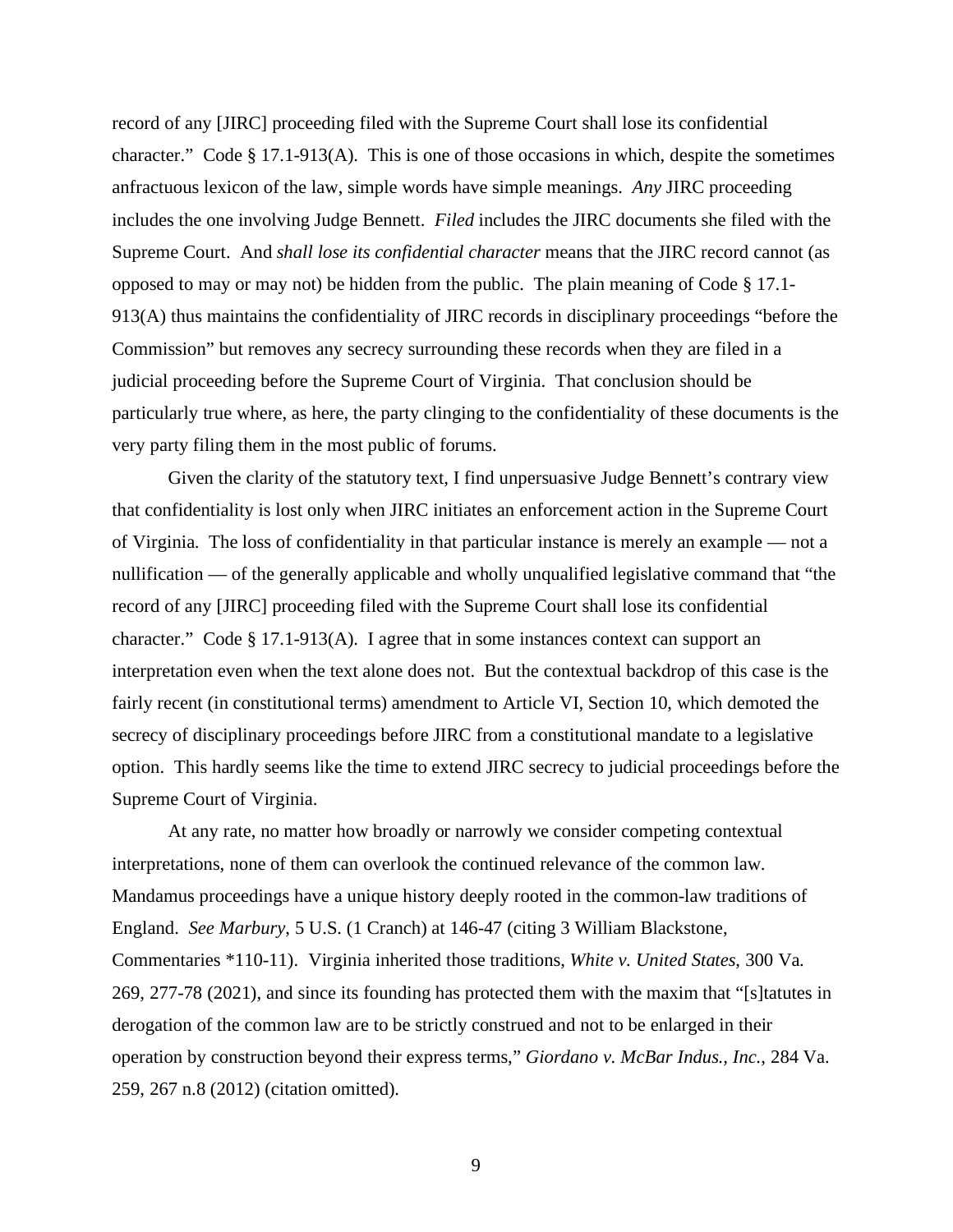record of any [JIRC] proceeding filed with the Supreme Court shall lose its confidential character." Code § 17.1-913(A). This is one of those occasions in which, despite the sometimes anfractuous lexicon of the law, simple words have simple meanings. *Any* JIRC proceeding includes the one involving Judge Bennett. *Filed* includes the JIRC documents she filed with the Supreme Court. And *shall lose its confidential character* means that the JIRC record cannot (as opposed to may or may not) be hidden from the public. The plain meaning of Code § 17.1- 913(A) thus maintains the confidentiality of JIRC records in disciplinary proceedings "before the Commission" but removes any secrecy surrounding these records when they are filed in a judicial proceeding before the Supreme Court of Virginia. That conclusion should be particularly true where, as here, the party clinging to the confidentiality of these documents is the very party filing them in the most public of forums.

Given the clarity of the statutory text, I find unpersuasive Judge Bennett's contrary view that confidentiality is lost only when JIRC initiates an enforcement action in the Supreme Court of Virginia. The loss of confidentiality in that particular instance is merely an example — not a nullification — of the generally applicable and wholly unqualified legislative command that "the record of any [JIRC] proceeding filed with the Supreme Court shall lose its confidential character." Code § 17.1-913(A). I agree that in some instances context can support an interpretation even when the text alone does not. But the contextual backdrop of this case is the fairly recent (in constitutional terms) amendment to Article VI, Section 10, which demoted the secrecy of disciplinary proceedings before JIRC from a constitutional mandate to a legislative option. This hardly seems like the time to extend JIRC secrecy to judicial proceedings before the Supreme Court of Virginia.

At any rate, no matter how broadly or narrowly we consider competing contextual interpretations, none of them can overlook the continued relevance of the common law. Mandamus proceedings have a unique history deeply rooted in the common-law traditions of England. *See Marbury*, 5 U.S. (1 Cranch) at 146-47 (citing 3 William Blackstone, Commentaries \*110-11). Virginia inherited those traditions, *White v. United States*, 300 Va. 269, 277-78 (2021), and since its founding has protected them with the maxim that "[s]tatutes in derogation of the common law are to be strictly construed and not to be enlarged in their operation by construction beyond their express terms," *Giordano v. McBar Indus., Inc.*, 284 Va. 259, 267 n.8 (2012) (citation omitted).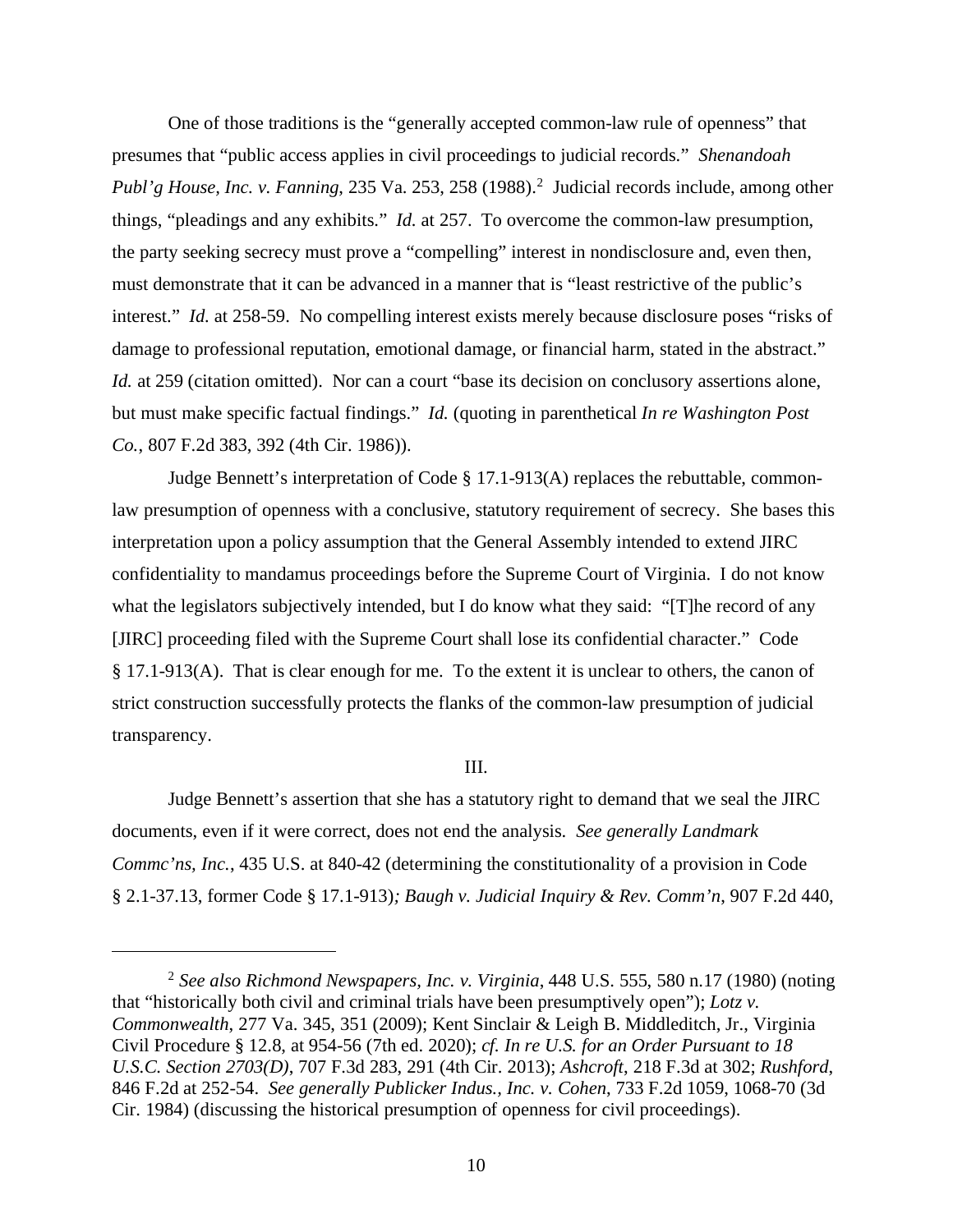One of those traditions is the "generally accepted common-law rule of openness" that presumes that "public access applies in civil proceedings to judicial records." *Shenandoah* Publ'g House, Inc. v. Fanning, 235 Va. 253, 258 (1988).<sup>2</sup> Judicial records include, among other things, "pleadings and any exhibits." *Id.* at 257. To overcome the common-law presumption, the party seeking secrecy must prove a "compelling" interest in nondisclosure and, even then, must demonstrate that it can be advanced in a manner that is "least restrictive of the public's interest." *Id.* at 258-59. No compelling interest exists merely because disclosure poses "risks of damage to professional reputation, emotional damage, or financial harm, stated in the abstract." *Id.* at 259 (citation omitted). Nor can a court "base its decision on conclusory assertions alone, but must make specific factual findings." *Id.* (quoting in parenthetical *In re Washington Post Co.*, 807 F.2d 383, 392 (4th Cir. 1986)).

Judge Bennett's interpretation of Code § 17.1-913(A) replaces the rebuttable, commonlaw presumption of openness with a conclusive, statutory requirement of secrecy. She bases this interpretation upon a policy assumption that the General Assembly intended to extend JIRC confidentiality to mandamus proceedings before the Supreme Court of Virginia. I do not know what the legislators subjectively intended, but I do know what they said: "[T]he record of any [JIRC] proceeding filed with the Supreme Court shall lose its confidential character." Code § 17.1-913(A). That is clear enough for me. To the extent it is unclear to others, the canon of strict construction successfully protects the flanks of the common-law presumption of judicial transparency.

#### III.

Judge Bennett's assertion that she has a statutory right to demand that we seal the JIRC documents, even if it were correct, does not end the analysis. *See generally Landmark Commc'ns, Inc.*, 435 U.S. at 840-42 (determining the constitutionality of a provision in Code § 2.1-37.13, former Code § 17.1-913)*; Baugh v. Judicial Inquiry & Rev. Comm'n*, 907 F.2d 440,

<sup>2</sup> *See also Richmond Newspapers, Inc. v. Virginia*, 448 U.S. 555, 580 n.17 (1980) (noting that "historically both civil and criminal trials have been presumptively open"); *Lotz v. Commonwealth*, 277 Va. 345, 351 (2009); Kent Sinclair & Leigh B. Middleditch, Jr., Virginia Civil Procedure § 12.8, at 954-56 (7th ed. 2020); *cf. In re U.S. for an Order Pursuant to 18 U.S.C. Section 2703(D)*, 707 F.3d 283, 291 (4th Cir. 2013); *Ashcroft*, 218 F.3d at 302; *Rushford*, 846 F.2d at 252-54. *See generally Publicker Indus., Inc. v. Cohen*, 733 F.2d 1059, 1068-70 (3d Cir. 1984) (discussing the historical presumption of openness for civil proceedings).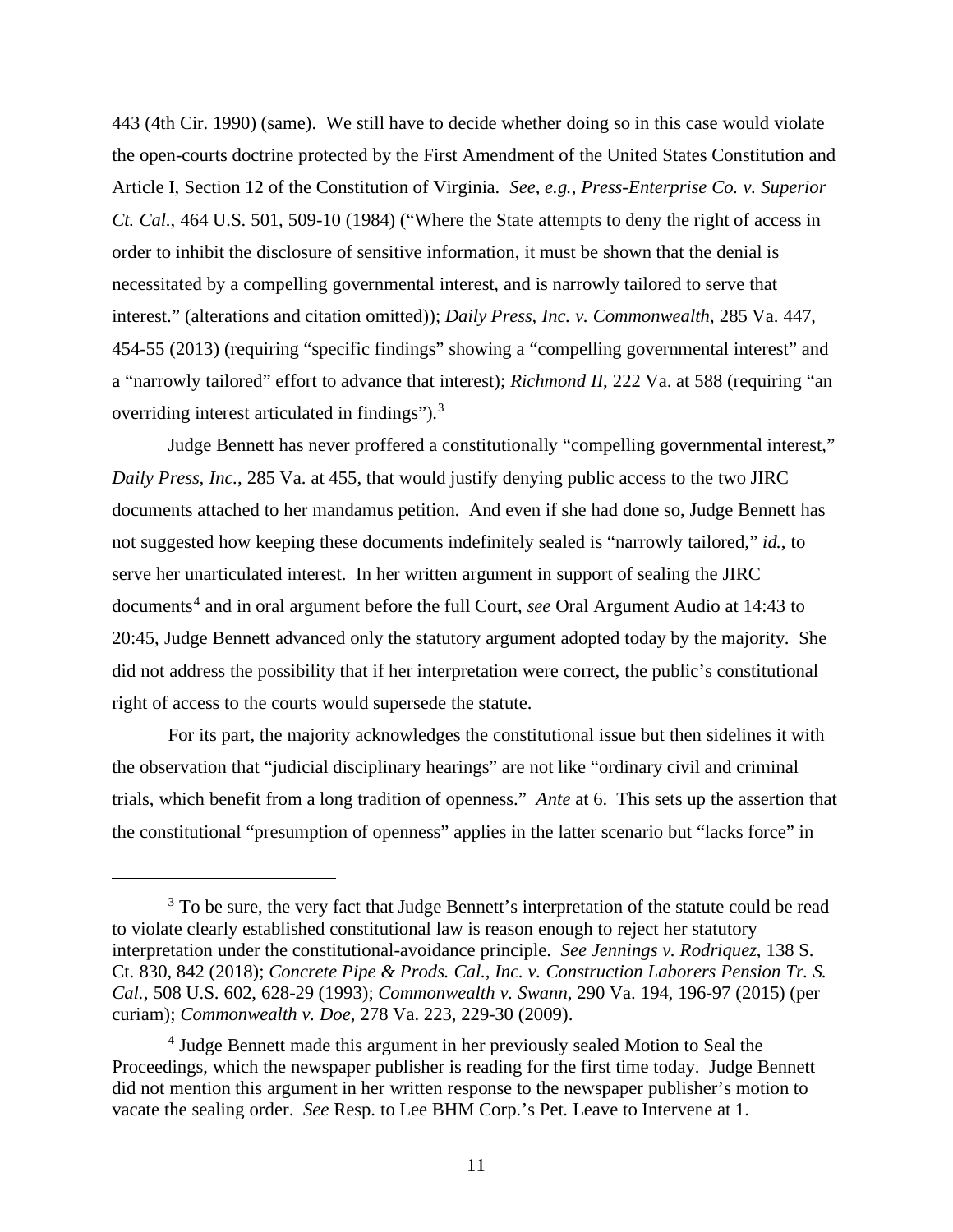443 (4th Cir. 1990) (same). We still have to decide whether doing so in this case would violate the open-courts doctrine protected by the First Amendment of the United States Constitution and Article I, Section 12 of the Constitution of Virginia. *See, e.g.*, *Press-Enterprise Co. v. Superior Ct. Cal.*, 464 U.S. 501, 509-10 (1984) ("Where the State attempts to deny the right of access in order to inhibit the disclosure of sensitive information, it must be shown that the denial is necessitated by a compelling governmental interest, and is narrowly tailored to serve that interest." (alterations and citation omitted)); *Daily Press, Inc. v. Commonwealth*, 285 Va. 447, 454-55 (2013) (requiring "specific findings" showing a "compelling governmental interest" and a "narrowly tailored" effort to advance that interest); *Richmond II*, 222 Va. at 588 (requiring "an overriding interest articulated in findings").<sup>3</sup>

Judge Bennett has never proffered a constitutionally "compelling governmental interest," *Daily Press, Inc.*, 285 Va. at 455, that would justify denying public access to the two JIRC documents attached to her mandamus petition. And even if she had done so, Judge Bennett has not suggested how keeping these documents indefinitely sealed is "narrowly tailored," *id.*, to serve her unarticulated interest. In her written argument in support of sealing the JIRC documents<sup>4</sup> and in oral argument before the full Court, *see* Oral Argument Audio at 14:43 to 20:45, Judge Bennett advanced only the statutory argument adopted today by the majority. She did not address the possibility that if her interpretation were correct, the public's constitutional right of access to the courts would supersede the statute.

For its part, the majority acknowledges the constitutional issue but then sidelines it with the observation that "judicial disciplinary hearings" are not like "ordinary civil and criminal trials, which benefit from a long tradition of openness." *Ante* at 6. This sets up the assertion that the constitutional "presumption of openness" applies in the latter scenario but "lacks force" in

<sup>&</sup>lt;sup>3</sup> To be sure, the very fact that Judge Bennett's interpretation of the statute could be read to violate clearly established constitutional law is reason enough to reject her statutory interpretation under the constitutional-avoidance principle. *See Jennings v. Rodriquez*, 138 S. Ct. 830, 842 (2018); *Concrete Pipe & Prods. Cal., Inc. v. Construction Laborers Pension Tr. S. Cal.*, 508 U.S. 602, 628-29 (1993); *Commonwealth v. Swann*, 290 Va. 194, 196-97 (2015) (per curiam); *Commonwealth v. Doe*, 278 Va. 223, 229-30 (2009).

<sup>4</sup> Judge Bennett made this argument in her previously sealed Motion to Seal the Proceedings, which the newspaper publisher is reading for the first time today. Judge Bennett did not mention this argument in her written response to the newspaper publisher's motion to vacate the sealing order. *See* Resp. to Lee BHM Corp.'s Pet. Leave to Intervene at 1.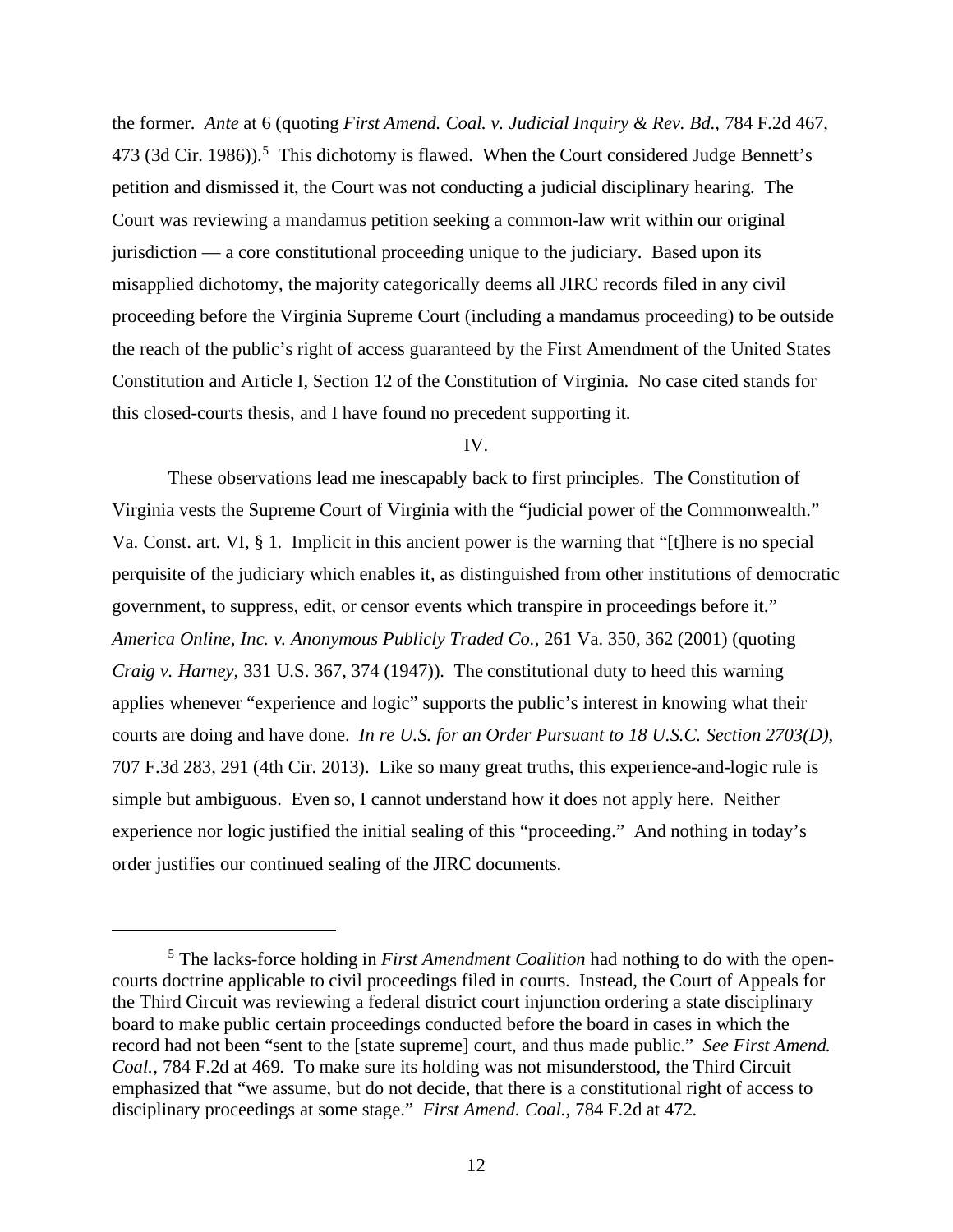the former. *Ante* at 6 (quoting *First Amend. Coal. v. Judicial Inquiry & Rev. Bd.*, 784 F.2d 467, 473 (3d Cir. 1986)).<sup>5</sup> This dichotomy is flawed. When the Court considered Judge Bennett's petition and dismissed it, the Court was not conducting a judicial disciplinary hearing. The Court was reviewing a mandamus petition seeking a common-law writ within our original jurisdiction — a core constitutional proceeding unique to the judiciary. Based upon its misapplied dichotomy, the majority categorically deems all JIRC records filed in any civil proceeding before the Virginia Supreme Court (including a mandamus proceeding) to be outside the reach of the public's right of access guaranteed by the First Amendment of the United States Constitution and Article I, Section 12 of the Constitution of Virginia. No case cited stands for this closed-courts thesis, and I have found no precedent supporting it.

IV.

These observations lead me inescapably back to first principles. The Constitution of Virginia vests the Supreme Court of Virginia with the "judicial power of the Commonwealth." Va. Const. art. VI, § 1. Implicit in this ancient power is the warning that "[t]here is no special perquisite of the judiciary which enables it, as distinguished from other institutions of democratic government, to suppress, edit, or censor events which transpire in proceedings before it." *America Online, Inc. v. Anonymous Publicly Traded Co.*, 261 Va. 350, 362 (2001) (quoting *Craig v. Harney*, 331 U.S. 367, 374 (1947)). The constitutional duty to heed this warning applies whenever "experience and logic" supports the public's interest in knowing what their courts are doing and have done. *In re U.S. for an Order Pursuant to 18 U.S.C. Section 2703(D)*, 707 F.3d 283, 291 (4th Cir. 2013). Like so many great truths, this experience-and-logic rule is simple but ambiguous. Even so, I cannot understand how it does not apply here. Neither experience nor logic justified the initial sealing of this "proceeding." And nothing in today's order justifies our continued sealing of the JIRC documents.

<sup>5</sup> The lacks-force holding in *First Amendment Coalition* had nothing to do with the opencourts doctrine applicable to civil proceedings filed in courts. Instead, the Court of Appeals for the Third Circuit was reviewing a federal district court injunction ordering a state disciplinary board to make public certain proceedings conducted before the board in cases in which the record had not been "sent to the [state supreme] court, and thus made public." *See First Amend. Coal.*, 784 F.2d at 469. To make sure its holding was not misunderstood, the Third Circuit emphasized that "we assume, but do not decide, that there is a constitutional right of access to disciplinary proceedings at some stage." *First Amend. Coal.*, 784 F.2d at 472.